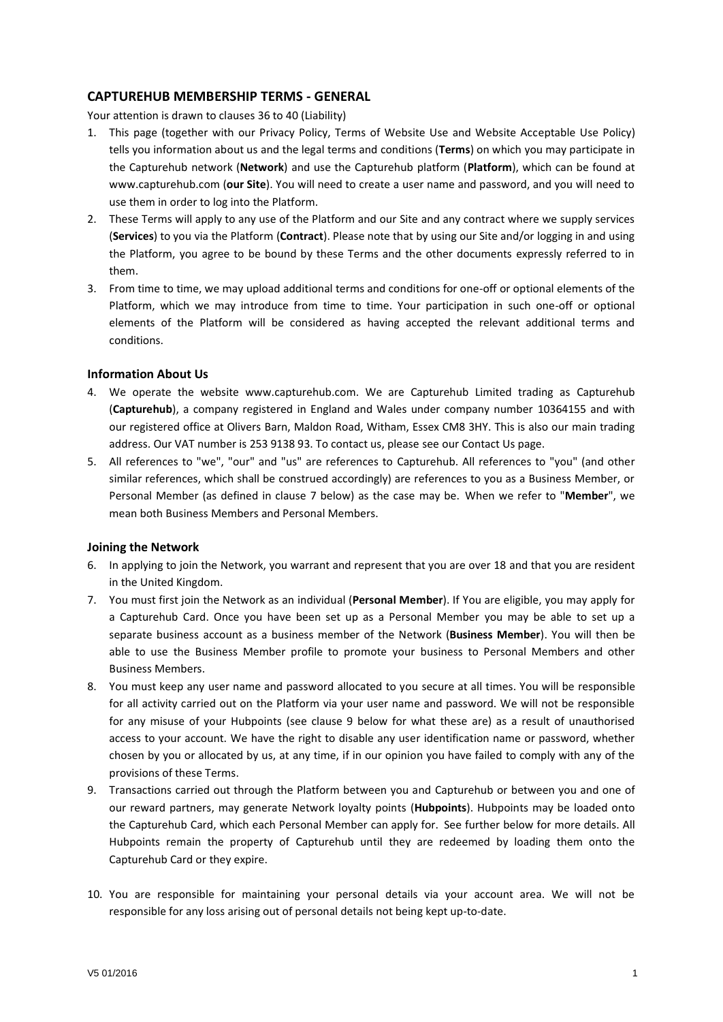# **CAPTUREHUB MEMBERSHIP TERMS - GENERAL**

Your attention is drawn to clause[s 36](#page-4-0) to [40](#page-4-1) (Liability)

- 1. This page (together with our Privacy Policy, Terms of Website Use and Website Acceptable Use Policy) tells you information about us and the legal terms and conditions (**Terms**) on which you may participate in the Capturehub network (**Network**) and use the Capturehub platform (**Platform**), which can be found at www.capturehub.com (**our Site**). You will need to create a user name and password, and you will need to use them in order to log into the Platform.
- 2. These Terms will apply to any use of the Platform and our Site and any contract where we supply services (**Services**) to you via the Platform (**Contract**). Please note that by using our Site and/or logging in and using the Platform, you agree to be bound by these Terms and the other documents expressly referred to in them.
- 3. From time to time, we may upload additional terms and conditions for one-off or optional elements of the Platform, which we may introduce from time to time. Your participation in such one-off or optional elements of the Platform will be considered as having accepted the relevant additional terms and conditions.

## **Information About Us**

- 4. We operate the website www.capturehub.com. We are Capturehub Limited trading as Capturehub (**Capturehub**), a company registered in England and Wales under company number 10364155 and with our registered office at Olivers Barn, Maldon Road, Witham, Essex CM8 3HY. This is also our main trading address. Our VAT number is 253 9138 93. To contact us, please see our Contact Us page.
- 5. All references to "we", "our" and "us" are references to Capturehub. All references to "you" (and other similar references, which shall be construed accordingly) are references to you as a Business Member, or Personal Member (as defined in clause [7](#page-0-0) below) as the case may be. When we refer to "**Member**", we mean both Business Members and Personal Members.

## **Joining the Network**

- 6. In applying to join the Network, you warrant and represent that you are over 18 and that you are resident in the United Kingdom.
- <span id="page-0-0"></span>7. You must first join the Network as an individual (**Personal Member**). If You are eligible, you may apply for a Capturehub Card. Once you have been set up as a Personal Member you may be able to set up a separate business account as a business member of the Network (**Business Member**). You will then be able to use the Business Member profile to promote your business to Personal Members and other Business Members.
- 8. You must keep any user name and password allocated to you secure at all times. You will be responsible for all activity carried out on the Platform via your user name and password. We will not be responsible for any misuse of your Hubpoints (see clause [9](#page-0-1) below for what these are) as a result of unauthorised access to your account. We have the right to disable any user identification name or password, whether chosen by you or allocated by us, at any time, if in our opinion you have failed to comply with any of the provisions of these Terms.
- <span id="page-0-1"></span>9. Transactions carried out through the Platform between you and Capturehub or between you and one of our reward partners, may generate Network loyalty points (**Hubpoints**). Hubpoints may be loaded onto the Capturehub Card, which each Personal Member can apply for. See further below for more details. All Hubpoints remain the property of Capturehub until they are redeemed by loading them onto the Capturehub Card or they expire.
- 10. You are responsible for maintaining your personal details via your account area. We will not be responsible for any loss arising out of personal details not being kept up-to-date.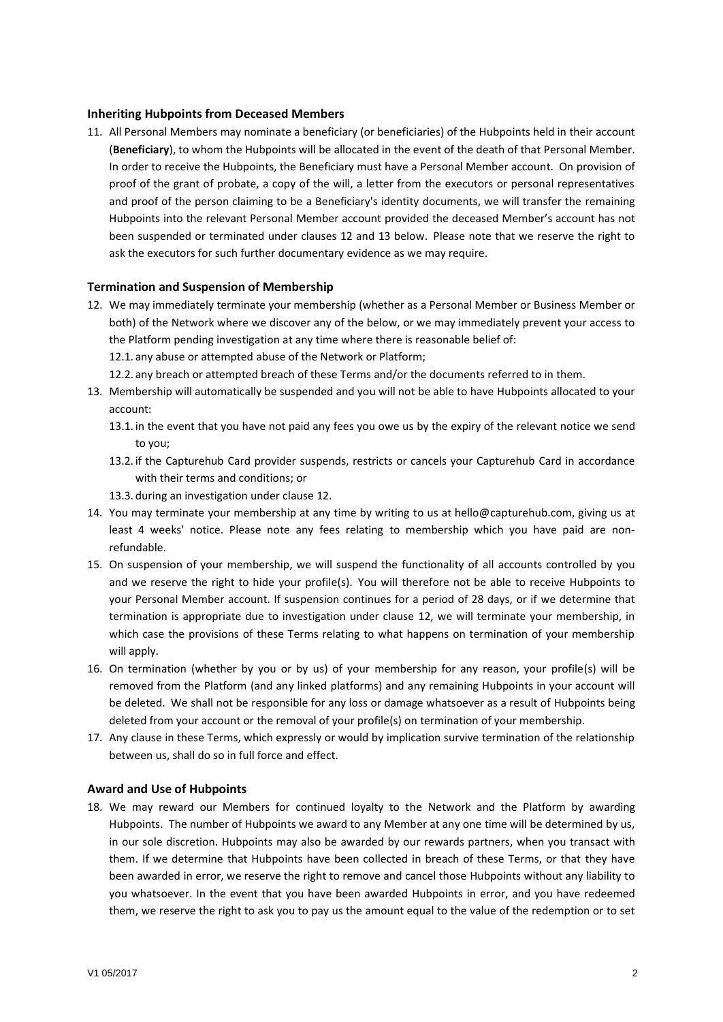## **Inheriting Hubpoints from Deceased Members**

11. All Personal Members may nominate a beneficiary (or beneficiaries) of the Hubpoints held in their account (**Beneficiary**), to whom the Hubpoints will be allocated in the event of the death of that Personal Member. In order to receive the Hubpoints, the Beneficiary must have a Personal Member account. On provision of proof of the grant of probate, a copy of the will, a letter from the executors or personal representatives and proof of the person claiming to be a Beneficiary's identity documents, we will transfer the remaining Hubpoints into the relevant Personal Member account provided the deceased Member's account has not been suspended or terminated under clauses [12](#page-1-0) and [13](#page-1-1) below. Please note that we reserve the right to ask the executors for such further documentary evidence as we may require.

## **Termination and Suspension of Membership**

- <span id="page-1-0"></span>12. We may immediately terminate your membership (whether as a Personal Member or Business Member or both) of the Network where we discover any of the below, or we may immediately prevent your access to the Platform pending investigation at any time where there is reasonable belief of:
	- 12.1. any abuse or attempted abuse of the Network or Platform;
	- 12.2. any breach or attempted breach of these Terms and/or the documents referred to in them.
- <span id="page-1-1"></span>13. Membership will automatically be suspended and you will not be able to have Hubpoints allocated to your account:
	- 13.1. in the event that you have not paid any fees you owe us by the expiry of the relevant notice we send to you;
	- 13.2. if the Capturehub Card provider suspends, restricts or cancels your Capturehub Card in accordance with their terms and conditions; or
	- 13.3. during an investigation under clause [12.](#page-1-0)
- 14. You may terminate your membership at any time by writing to us at hello@capturehub.com, giving us at least 4 weeks' notice. Please note any fees relating to membership which you have paid are nonrefundable.
- 15. On suspension of your membership, we will suspend the functionality of all accounts controlled by you and we reserve the right to hide your profile(s). You will therefore not be able to receive Hubpoints to your Personal Member account. If suspension continues for a period of 28 days, or if we determine that termination is appropriate due to investigation under clause [12,](#page-1-0) we will terminate your membership, in which case the provisions of these Terms relating to what happens on termination of your membership will apply.
- 16. On termination (whether by you or by us) of your membership for any reason, your profile(s) will be removed from the Platform (and any linked platforms) and any remaining Hubpoints in your account will be deleted. We shall not be responsible for any loss or damage whatsoever as a result of Hubpoints being deleted from your account or the removal of your profile(s) on termination of your membership.
- 17. Any clause in these Terms, which expressly or would by implication survive termination of the relationship between us, shall do so in full force and effect.

## **Award and Use of Hubpoints**

18. We may reward our Members for continued loyalty to the Network and the Platform by awarding Hubpoints. The number of Hubpoints we award to any Member at any one time will be determined by us, in our sole discretion. Hubpoints may also be awarded by our rewards partners, when you transact with them. If we determine that Hubpoints have been collected in breach of these Terms, or that they have been awarded in error, we reserve the right to remove and cancel those Hubpoints without any liability to you whatsoever. In the event that you have been awarded Hubpoints in error, and you have redeemed them, we reserve the right to ask you to pay us the amount equal to the value of the redemption or to set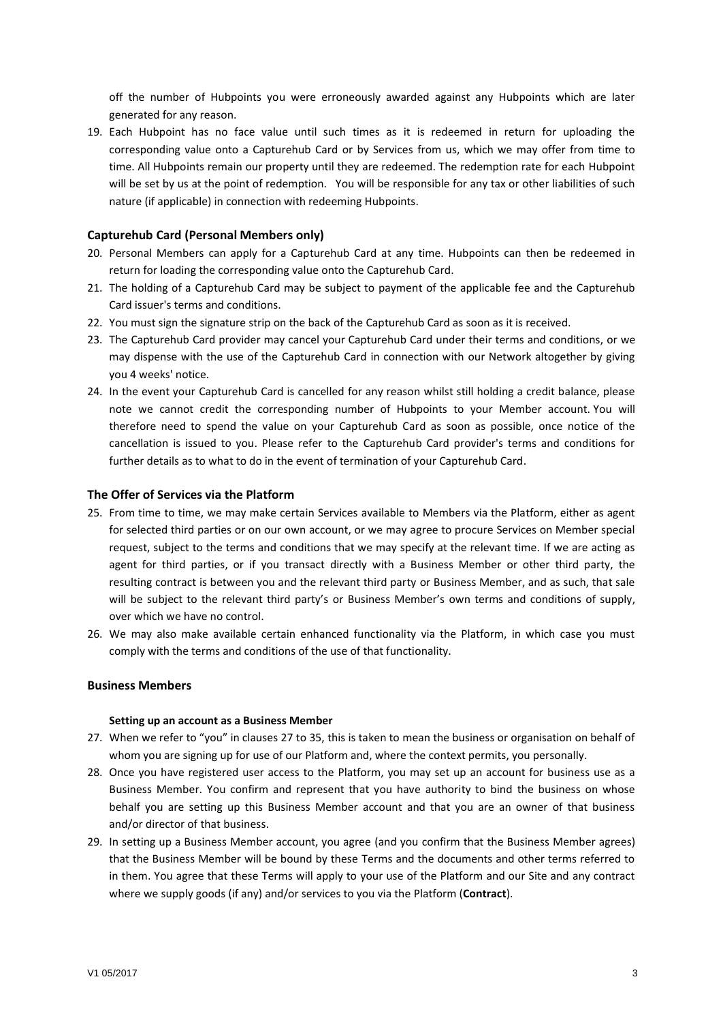off the number of Hubpoints you were erroneously awarded against any Hubpoints which are later generated for any reason.

19. Each Hubpoint has no face value until such times as it is redeemed in return for uploading the corresponding value onto a Capturehub Card or by Services from us, which we may offer from time to time. All Hubpoints remain our property until they are redeemed. The redemption rate for each Hubpoint will be set by us at the point of redemption. You will be responsible for any tax or other liabilities of such nature (if applicable) in connection with redeeming Hubpoints.

## **Capturehub Card (Personal Members only)**

- 20. Personal Members can apply for a Capturehub Card at any time. Hubpoints can then be redeemed in return for loading the corresponding value onto the Capturehub Card.
- 21. The holding of a Capturehub Card may be subject to payment of the applicable fee and the Capturehub Card issuer's terms and conditions.
- 22. You must sign the signature strip on the back of the Capturehub Card as soon as it is received.
- 23. The Capturehub Card provider may cancel your Capturehub Card under their terms and conditions, or we may dispense with the use of the Capturehub Card in connection with our Network altogether by giving you 4 weeks' notice.
- 24. In the event your Capturehub Card is cancelled for any reason whilst still holding a credit balance, please note we cannot credit the corresponding number of Hubpoints to your Member account. You will therefore need to spend the value on your Capturehub Card as soon as possible, once notice of the cancellation is issued to you. Please refer to the Capturehub Card provider's terms and conditions for further details as to what to do in the event of termination of your Capturehub Card.

#### **The Offer of Services via the Platform**

- 25. From time to time, we may make certain Services available to Members via the Platform, either as agent for selected third parties or on our own account, or we may agree to procure Services on Member special request, subject to the terms and conditions that we may specify at the relevant time. If we are acting as agent for third parties, or if you transact directly with a Business Member or other third party, the resulting contract is between you and the relevant third party or Business Member, and as such, that sale will be subject to the relevant third party's or Business Member's own terms and conditions of supply, over which we have no control.
- 26. We may also make available certain enhanced functionality via the Platform, in which case you must comply with the terms and conditions of the use of that functionality.

# **Business Members**

#### **Setting up an account as a Business Member**

- <span id="page-2-0"></span>27. When we refer to "you" in clauses [27](#page-2-0) to [35,](#page-3-0) this is taken to mean the business or organisation on behalf of whom you are signing up for use of our Platform and, where the context permits, you personally.
- 28. Once you have registered user access to the Platform, you may set up an account for business use as a Business Member. You confirm and represent that you have authority to bind the business on whose behalf you are setting up this Business Member account and that you are an owner of that business and/or director of that business.
- 29. In setting up a Business Member account, you agree (and you confirm that the Business Member agrees) that the Business Member will be bound by these Terms and the documents and other terms referred to in them. You agree that these Terms will apply to your use of the Platform and our Site and any contract where we supply goods (if any) and/or services to you via the Platform (**Contract**).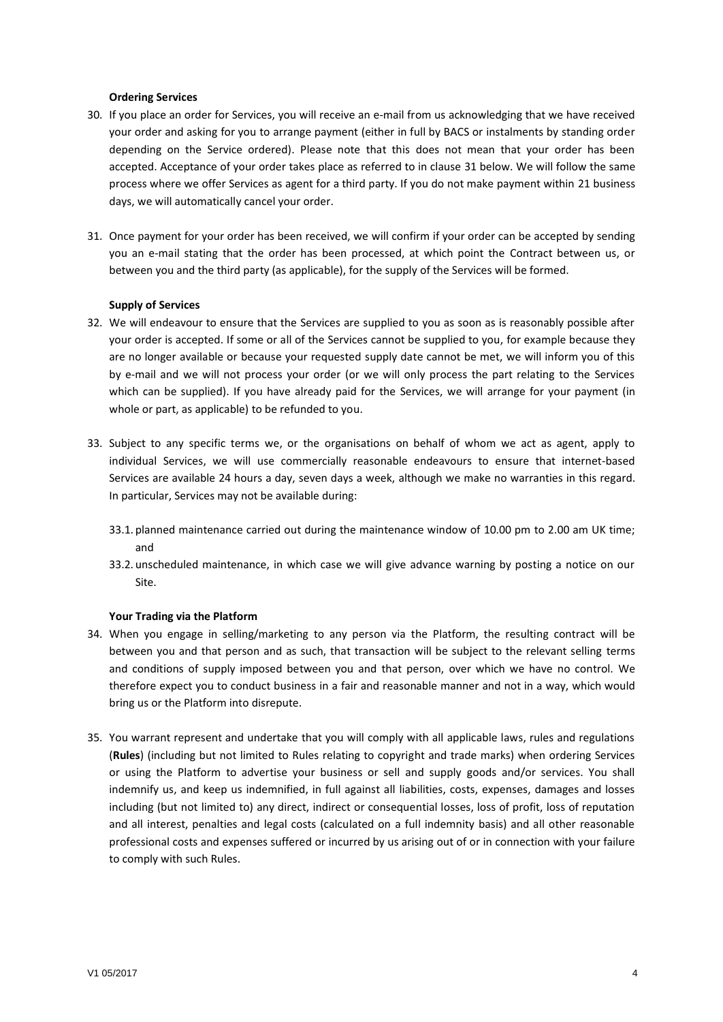#### **Ordering Services**

- 30. If you place an order for Services, you will receive an e-mail from us acknowledging that we have received your order and asking for you to arrange payment (either in full by BACS or instalments by standing order depending on the Service ordered). Please note that this does not mean that your order has been accepted. Acceptance of your order takes place as referred to in claus[e 31](#page-3-1) below. We will follow the same process where we offer Services as agent for a third party. If you do not make payment within 21 business days, we will automatically cancel your order.
- <span id="page-3-1"></span>31. Once payment for your order has been received, we will confirm if your order can be accepted by sending you an e-mail stating that the order has been processed, at which point the Contract between us, or between you and the third party (as applicable), for the supply of the Services will be formed.

#### **Supply of Services**

- 32. We will endeavour to ensure that the Services are supplied to you as soon as is reasonably possible after your order is accepted. If some or all of the Services cannot be supplied to you, for example because they are no longer available or because your requested supply date cannot be met, we will inform you of this by e-mail and we will not process your order (or we will only process the part relating to the Services which can be supplied). If you have already paid for the Services, we will arrange for your payment (in whole or part, as applicable) to be refunded to you.
- 33. Subject to any specific terms we, or the organisations on behalf of whom we act as agent, apply to individual Services, we will use commercially reasonable endeavours to ensure that internet-based Services are available 24 hours a day, seven days a week, although we make no warranties in this regard. In particular, Services may not be available during:
	- 33.1. planned maintenance carried out during the maintenance window of 10.00 pm to 2.00 am UK time; and
	- 33.2. unscheduled maintenance, in which case we will give advance warning by posting a notice on our Site.

#### **Your Trading via the Platform**

- 34. When you engage in selling/marketing to any person via the Platform, the resulting contract will be between you and that person and as such, that transaction will be subject to the relevant selling terms and conditions of supply imposed between you and that person, over which we have no control. We therefore expect you to conduct business in a fair and reasonable manner and not in a way, which would bring us or the Platform into disrepute.
- <span id="page-3-0"></span>35. You warrant represent and undertake that you will comply with all applicable laws, rules and regulations (**Rules**) (including but not limited to Rules relating to copyright and trade marks) when ordering Services or using the Platform to advertise your business or sell and supply goods and/or services. You shall indemnify us, and keep us indemnified, in full against all liabilities, costs, expenses, damages and losses including (but not limited to) any direct, indirect or consequential losses, loss of profit, loss of reputation and all interest, penalties and legal costs (calculated on a full indemnity basis) and all other reasonable professional costs and expenses suffered or incurred by us arising out of or in connection with your failure to comply with such Rules.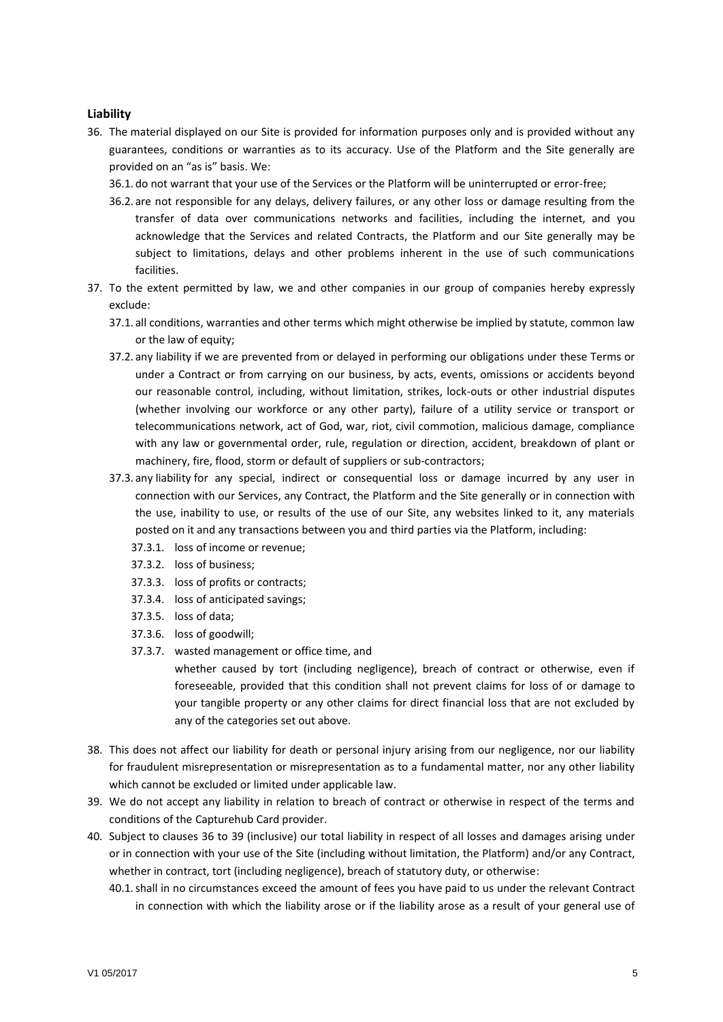## **Liability**

- <span id="page-4-0"></span>36. The material displayed on our Site is provided for information purposes only and is provided without any guarantees, conditions or warranties as to its accuracy. Use of the Platform and the Site generally are provided on an "as is" basis. We:
	- 36.1. do not warrant that your use of the Services or the Platform will be uninterrupted or error-free;
	- 36.2. are not responsible for any delays, delivery failures, or any other loss or damage resulting from the transfer of data over communications networks and facilities, including the internet, and you acknowledge that the Services and related Contracts, the Platform and our Site generally may be subject to limitations, delays and other problems inherent in the use of such communications facilities.
- 37. To the extent permitted by law, we and other companies in our group of companies hereby expressly exclude:
	- 37.1. all conditions, warranties and other terms which might otherwise be implied by statute, common law or the law of equity;
	- 37.2. any liability if we are prevented from or delayed in performing our obligations under these Terms or under a Contract or from carrying on our business, by acts, events, omissions or accidents beyond our reasonable control, including, without limitation, strikes, lock-outs or other industrial disputes (whether involving our workforce or any other party), failure of a utility service or transport or telecommunications network, act of God, war, riot, civil commotion, malicious damage, compliance with any law or governmental order, rule, regulation or direction, accident, breakdown of plant or machinery, fire, flood, storm or default of suppliers or sub-contractors;
	- 37.3. any liability for any special, indirect or consequential loss or damage incurred by any user in connection with our Services, any Contract, the Platform and the Site generally or in connection with the use, inability to use, or results of the use of our Site, any websites linked to it, any materials posted on it and any transactions between you and third parties via the Platform, including:
		- 37.3.1. loss of income or revenue;
		- 37.3.2. loss of business;
		- 37.3.3. loss of profits or contracts;
		- 37.3.4. loss of anticipated savings;
		- 37.3.5. loss of data;
		- 37.3.6. loss of goodwill;
		- 37.3.7. wasted management or office time, and

whether caused by tort (including negligence), breach of contract or otherwise, even if foreseeable, provided that this condition shall not prevent claims for loss of or damage to your tangible property or any other claims for direct financial loss that are not excluded by any of the categories set out above.

- 38. This does not affect our liability for death or personal injury arising from our negligence, nor our liability for fraudulent misrepresentation or misrepresentation as to a fundamental matter, nor any other liability which cannot be excluded or limited under applicable law.
- <span id="page-4-2"></span>39. We do not accept any liability in relation to breach of contract or otherwise in respect of the terms and conditions of the Capturehub Card provider.
- <span id="page-4-1"></span>40. Subject to clauses [36](#page-4-0) to [39](#page-4-2) (inclusive) our total liability in respect of all losses and damages arising under or in connection with your use of the Site (including without limitation, the Platform) and/or any Contract, whether in contract, tort (including negligence), breach of statutory duty, or otherwise:
	- 40.1.shall in no circumstances exceed the amount of fees you have paid to us under the relevant Contract in connection with which the liability arose or if the liability arose as a result of your general use of